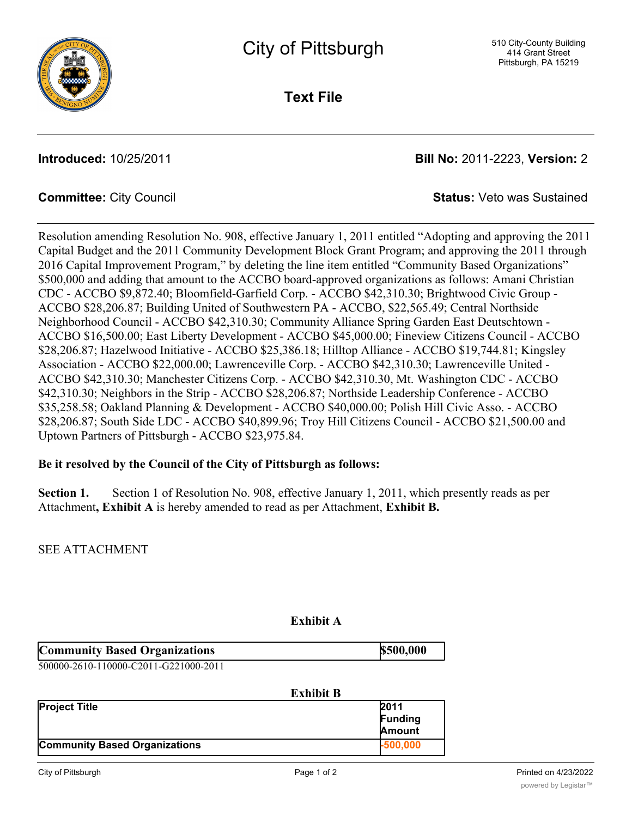

**Text File**

**Introduced:** 10/25/2011 **Bill No:** 2011-2223, **Version:** 2

**Committee:** City Council **Status:** Veto was Sustained

Resolution amending Resolution No. 908, effective January 1, 2011 entitled "Adopting and approving the 2011 Capital Budget and the 2011 Community Development Block Grant Program; and approving the 2011 through 2016 Capital Improvement Program," by deleting the line item entitled "Community Based Organizations" \$500,000 and adding that amount to the ACCBO board-approved organizations as follows: Amani Christian CDC - ACCBO \$9,872.40; Bloomfield-Garfield Corp. - ACCBO \$42,310.30; Brightwood Civic Group - ACCBO \$28,206.87; Building United of Southwestern PA - ACCBO, \$22,565.49; Central Northside Neighborhood Council - ACCBO \$42,310.30; Community Alliance Spring Garden East Deutschtown - ACCBO \$16,500.00; East Liberty Development - ACCBO \$45,000.00; Fineview Citizens Council - ACCBO \$28,206.87; Hazelwood Initiative - ACCBO \$25,386.18; Hilltop Alliance - ACCBO \$19,744.81; Kingsley Association - ACCBO \$22,000.00; Lawrenceville Corp. - ACCBO \$42,310.30; Lawrenceville United - ACCBO \$42,310.30; Manchester Citizens Corp. - ACCBO \$42,310.30, Mt. Washington CDC - ACCBO \$42,310.30; Neighbors in the Strip - ACCBO \$28,206.87; Northside Leadership Conference - ACCBO \$35,258.58; Oakland Planning & Development - ACCBO \$40,000.00; Polish Hill Civic Asso. - ACCBO \$28,206.87; South Side LDC - ACCBO \$40,899.96; Troy Hill Citizens Council - ACCBO \$21,500.00 and Uptown Partners of Pittsburgh - ACCBO \$23,975.84.

### **Be it resolved by the Council of the City of Pittsburgh as follows:**

**Section 1.** Section 1 of Resolution No. 908, effective January 1, 2011, which presently reads as per Attachment**, Exhibit A** is hereby amended to read as per Attachment, **Exhibit B.**

SEE ATTACHMENT

| <b>Community Based Organizations</b>  | \$500,000 |
|---------------------------------------|-----------|
| E00000 3610 110000 G3011 G331000 3011 |           |

|  | 500000-2610-110000-C2011-G221000-2011 |
|--|---------------------------------------|

| <b>Exhibit B</b>                     |                                         |
|--------------------------------------|-----------------------------------------|
| <b>Project Title</b>                 | 2011<br><b>Funding</b><br><b>Amount</b> |
| <b>Community Based Organizations</b> | $-500,000$                              |

**Exhibit A**